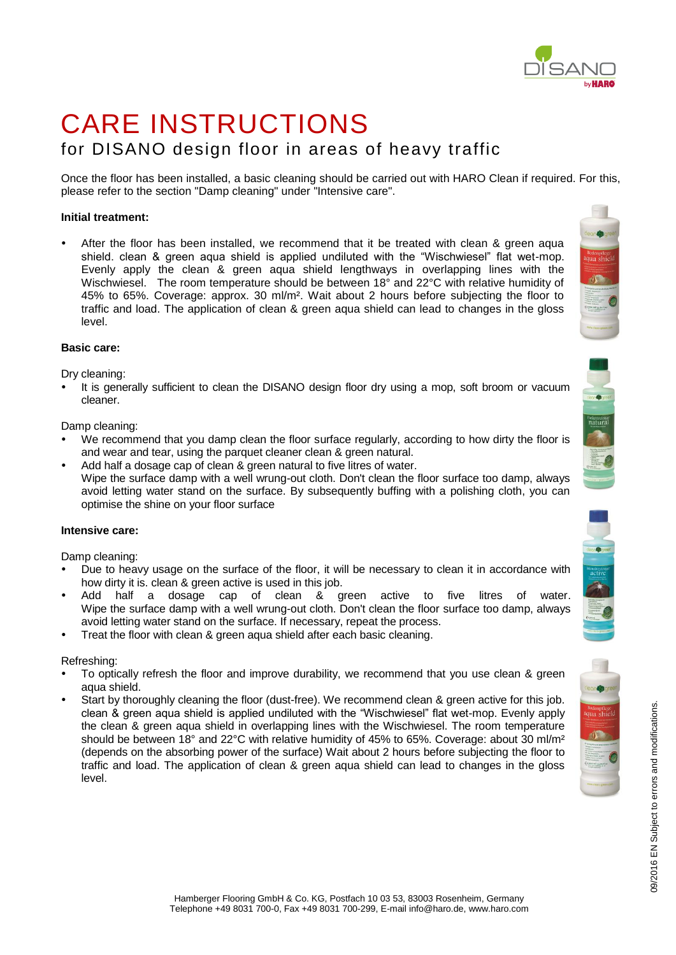# by **HARO**

## CARE INSTRUCTIONS for DISANO design floor in areas of heavy traffic

Once the floor has been installed, a basic cleaning should be carried out with HARO Clean if required. For this, please refer to the section "Damp cleaning" under "Intensive care".

### **Initial treatment:**

 After the floor has been installed, we recommend that it be treated with clean & green aqua shield. clean & green aqua shield is applied undiluted with the "Wischwiesel" flat wet-mop. Evenly apply the clean & green aqua shield lengthways in overlapping lines with the Wischwiesel. The room temperature should be between 18° and 22°C with relative humidity of 45% to 65%. Coverage: approx. 30 ml/m². Wait about 2 hours before subjecting the floor to traffic and load. The application of clean & green aqua shield can lead to changes in the gloss level.

#### **Basic care:**

Dry cleaning:

 It is generally sufficient to clean the DISANO design floor dry using a mop, soft broom or vacuum cleaner.

Damp cleaning:

- We recommend that you damp clean the floor surface regularly, according to how dirty the floor is and wear and tear, using the parquet cleaner clean & green natural.
- Add half a dosage cap of clean & green natural to five litres of water. Wipe the surface damp with a well wrung-out cloth. Don't clean the floor surface too damp, always avoid letting water stand on the surface. By subsequently buffing with a polishing cloth, you can optimise the shine on your floor surface

#### **Intensive care:**

Damp cleaning:

- Due to heavy usage on the surface of the floor, it will be necessary to clean it in accordance with how dirty it is. clean & green active is used in this job.
- Add half a dosage cap of clean & green active to five litres of water. Wipe the surface damp with a well wrung-out cloth. Don't clean the floor surface too damp, always avoid letting water stand on the surface. If necessary, repeat the process.
- Treat the floor with clean & green aqua shield after each basic cleaning.

Refreshing:

- To optically refresh the floor and improve durability, we recommend that you use clean & green aqua shield.
- Start by thoroughly cleaning the floor (dust-free). We recommend clean & green active for this job. clean & green aqua shield is applied undiluted with the "Wischwiesel" flat wet-mop. Evenly apply the clean & green aqua shield in overlapping lines with the Wischwiesel. The room temperature should be between 18° and 22°C with relative humidity of 45% to 65%. Coverage: about 30 ml/m<sup>2</sup> (depends on the absorbing power of the surface) Wait about 2 hours before subjecting the floor to traffic and load. The application of clean & green aqua shield can lead to changes in the gloss level.





09/2016 EN Subject to errors and modifications.

09/2016 EN Subject to errors and modifications